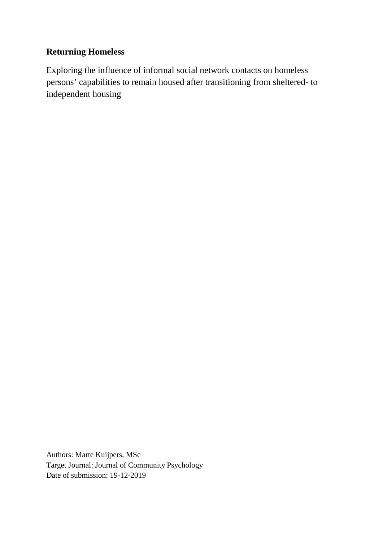## **Returning Homeless**

Exploring the influence of informal social network contacts on homeless persons' capabilities to remain housed after transitioning from sheltered- to independent housing

Authors: Marte Kuijpers, MSc Target Journal: Journal of Community Psychology Date of submission: 19-12-2019